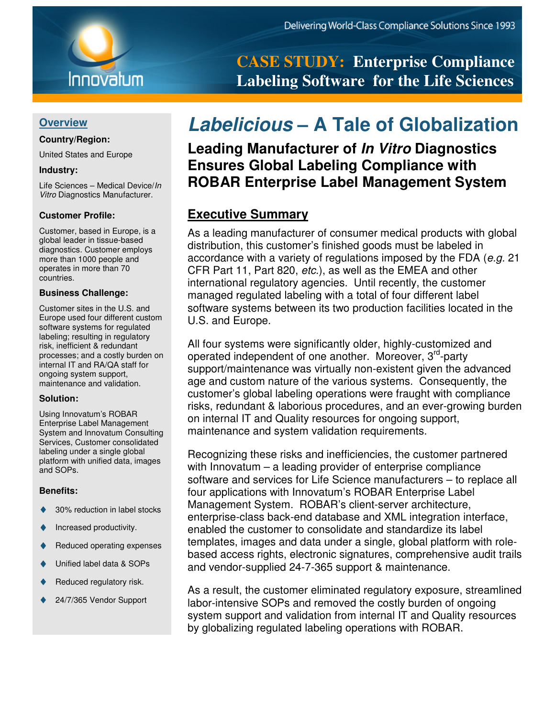### **Overview**

### **Country/Region:**

United States and Europe

#### **Industry:**

Life Sciences – Medical Device/In Vitro Diagnostics Manufacturer.

### **Customer Profile:**

Customer, based in Europe, is a global leader in tissue-based diagnostics. Customer employs more than 1000 people and operates in more than 70 countries.

#### **Business Challenge:**

Customer sites in the U.S. and Europe used four different custom software systems for regulated labeling; resulting in regulatory risk, inefficient & redundant processes; and a costly burden on internal IT and RA/QA staff for ongoing system support, maintenance and validation.

#### **Solution:**

Using Innovatum's ROBAR Enterprise Label Management System and Innovatum Consulting Services, Customer consolidated labeling under a single global platform with unified data, images and SOPs.

#### **Benefits:**

- ♦ 30% reduction in label stocks
- Increased productivity.
- ◆ Reduced operating expenses
- ♦ Unified label data & SOPs
- ◆ Reduced regulatory risk.
- 24/7/365 Vendor Support

**CASE STUDY: Enterprise Compliance Labeling Software for the Life Sciences** 

# **Labelicious – A Tale of Globalization**

**Leading Manufacturer of In Vitro Diagnostics Ensures Global Labeling Compliance with ROBAR Enterprise Label Management System**

### **Executive Summary**

As a leading manufacturer of consumer medical products with global distribution, this customer's finished goods must be labeled in accordance with a variety of regulations imposed by the FDA (e.g. 21 CFR Part 11, Part 820, etc.), as well as the EMEA and other international regulatory agencies. Until recently, the customer managed regulated labeling with a total of four different label software systems between its two production facilities located in the U.S. and Europe.

All four systems were significantly older, highly-customized and operated independent of one another. Moreover, 3<sup>rd</sup>-party support/maintenance was virtually non-existent given the advanced age and custom nature of the various systems. Consequently, the customer's global labeling operations were fraught with compliance risks, redundant & laborious procedures, and an ever-growing burden on internal IT and Quality resources for ongoing support, maintenance and system validation requirements.

Recognizing these risks and inefficiencies, the customer partnered with Innovatum – a leading provider of enterprise compliance software and services for Life Science manufacturers – to replace all four applications with Innovatum's ROBAR Enterprise Label Management System. ROBAR's client-server architecture, enterprise-class back-end database and XML integration interface, enabled the customer to consolidate and standardize its label templates, images and data under a single, global platform with rolebased access rights, electronic signatures, comprehensive audit trails and vendor-supplied 24-7-365 support & maintenance.

As a result, the customer eliminated regulatory exposure, streamlined labor-intensive SOPs and removed the costly burden of ongoing system support and validation from internal IT and Quality resources by globalizing regulated labeling operations with ROBAR.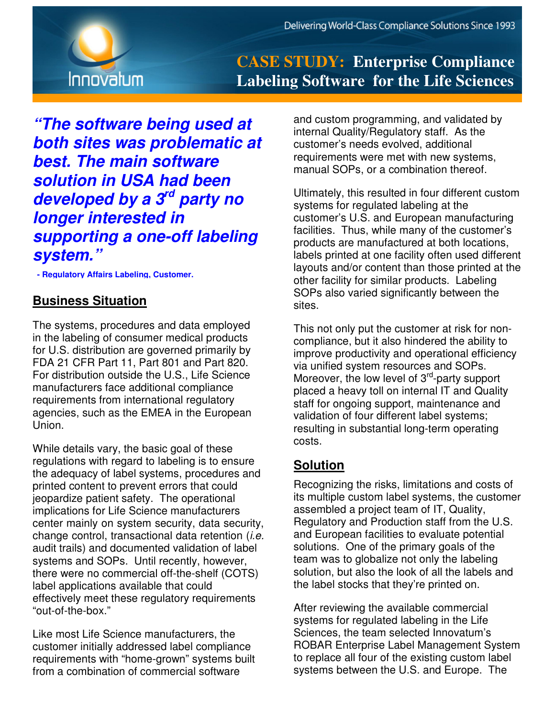

## **CASE STUDY: Enterprise Compliance Labeling Software for the Life Sciences**

**"The software being used at both sites was problematic at best. The main software solution in USA had been developed by a 3rd party no longer interested in supporting a one-off labeling system."** 

 **- Regulatory Affairs Labeling, Customer.**

## **Business Situation**

The systems, procedures and data employed in the labeling of consumer medical products for U.S. distribution are governed primarily by FDA 21 CFR Part 11, Part 801 and Part 820. For distribution outside the U.S., Life Science manufacturers face additional compliance requirements from international regulatory agencies, such as the EMEA in the European Union.

While details vary, the basic goal of these regulations with regard to labeling is to ensure the adequacy of label systems, procedures and printed content to prevent errors that could jeopardize patient safety. The operational implications for Life Science manufacturers center mainly on system security, data security, change control, transactional data retention  $(i.e.$ audit trails) and documented validation of label systems and SOPs. Until recently, however, there were no commercial off-the-shelf (COTS) label applications available that could effectively meet these regulatory requirements "out-of-the-box."

Like most Life Science manufacturers, the customer initially addressed label compliance requirements with "home-grown" systems built from a combination of commercial software

and custom programming, and validated by internal Quality/Regulatory staff. As the customer's needs evolved, additional requirements were met with new systems, manual SOPs, or a combination thereof.

Ultimately, this resulted in four different custom systems for regulated labeling at the customer's U.S. and European manufacturing facilities. Thus, while many of the customer's products are manufactured at both locations, labels printed at one facility often used different layouts and/or content than those printed at the other facility for similar products. Labeling SOPs also varied significantly between the sites.

This not only put the customer at risk for noncompliance, but it also hindered the ability to improve productivity and operational efficiency via unified system resources and SOPs. Moreover, the low level of 3<sup>rd</sup>-party support placed a heavy toll on internal IT and Quality staff for ongoing support, maintenance and validation of four different label systems; resulting in substantial long-term operating costs.

## **Solution**

Recognizing the risks, limitations and costs of its multiple custom label systems, the customer assembled a project team of IT, Quality, Regulatory and Production staff from the U.S. and European facilities to evaluate potential solutions. One of the primary goals of the team was to globalize not only the labeling solution, but also the look of all the labels and the label stocks that they're printed on.

After reviewing the available commercial systems for regulated labeling in the Life Sciences, the team selected Innovatum's ROBAR Enterprise Label Management System to replace all four of the existing custom label systems between the U.S. and Europe. The